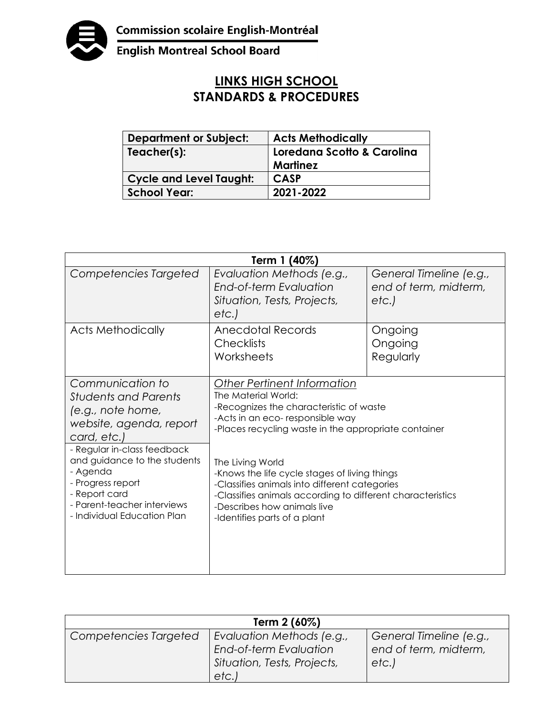

**English Montreal School Board** 

## **LINKS HIGH SCHOOL STANDARDS & PROCEDURES**

| <b>Department or Subject:</b>  | <b>Acts Methodically</b>   |  |
|--------------------------------|----------------------------|--|
| Teacher(s):                    | Loredana Scotto & Carolina |  |
|                                | Martinez                   |  |
| <b>Cycle and Level Taught:</b> | <b>CASP</b>                |  |
| <b>School Year:</b>            | 2021-2022                  |  |

| Term 1 (40%)                                                                                                                                                                                                                                                                                  |                                                                                                                                                                                                                                                                                                                                                                                                                                              |                                                          |  |  |
|-----------------------------------------------------------------------------------------------------------------------------------------------------------------------------------------------------------------------------------------------------------------------------------------------|----------------------------------------------------------------------------------------------------------------------------------------------------------------------------------------------------------------------------------------------------------------------------------------------------------------------------------------------------------------------------------------------------------------------------------------------|----------------------------------------------------------|--|--|
| Competencies Targeted                                                                                                                                                                                                                                                                         | Evaluation Methods (e.g.,<br>End-of-term Evaluation<br>Situation, Tests, Projects,<br>etc.                                                                                                                                                                                                                                                                                                                                                   | General Timeline (e.g.,<br>end of term, midterm,<br>etc. |  |  |
| <b>Acts Methodically</b>                                                                                                                                                                                                                                                                      | Anecdotal Records<br><b>Checklists</b><br>Worksheets                                                                                                                                                                                                                                                                                                                                                                                         | Ongoing<br>Ongoing<br>Regularly                          |  |  |
| Communication to<br><b>Students and Parents</b><br>(e.g., note home,<br>website, agenda, report<br>card, etc.)<br>- Regular in-class feedback<br>and guidance to the students<br>- Agenda<br>- Progress report<br>- Report card<br>- Parent-teacher interviews<br>- Individual Education Plan | Other Pertinent Information<br>The Material World:<br>-Recognizes the characteristic of waste<br>-Acts in an eco- responsible way<br>-Places recycling waste in the appropriate container<br>The Living World<br>-Knows the life cycle stages of living things<br>-Classifies animals into different categories<br>-Classifies animals according to different characteristics<br>-Describes how animals live<br>-Identifies parts of a plant |                                                          |  |  |

| Term 2 (60%)          |                                                                                            |                                                          |  |  |
|-----------------------|--------------------------------------------------------------------------------------------|----------------------------------------------------------|--|--|
| Competencies Targeted | Evaluation Methods (e.g.,<br>End-of-term Evaluation<br>Situation, Tests, Projects,<br>etc. | General Timeline (e.g.,<br>end of term, midterm,<br>etc. |  |  |